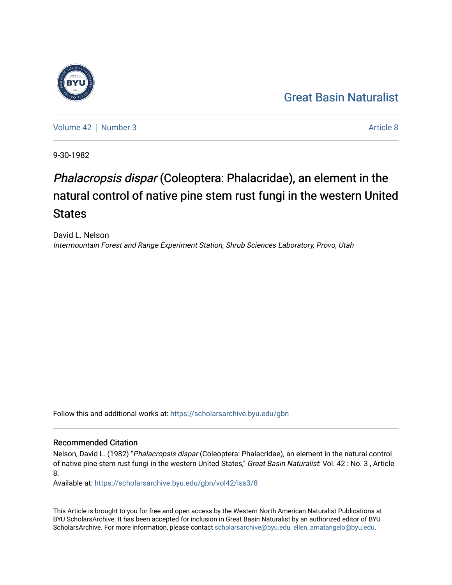## [Great Basin Naturalist](https://scholarsarchive.byu.edu/gbn)

[Volume 42](https://scholarsarchive.byu.edu/gbn/vol42) [Number 3](https://scholarsarchive.byu.edu/gbn/vol42/iss3) [Article 8](https://scholarsarchive.byu.edu/gbn/vol42/iss3/8) Article 8

9-30-1982

# Phalacropsis dispar (Coleoptera: Phalacridae), an element in the natural control of native pine stem rust fungi in the western United **States**

David L. Nelson Intermountain Forest and Range Experiment Station, Shrub Sciences Laboratory, Provo, Utah

Follow this and additional works at: [https://scholarsarchive.byu.edu/gbn](https://scholarsarchive.byu.edu/gbn?utm_source=scholarsarchive.byu.edu%2Fgbn%2Fvol42%2Fiss3%2F8&utm_medium=PDF&utm_campaign=PDFCoverPages) 

### Recommended Citation

Nelson, David L. (1982) "Phalacropsis dispar (Coleoptera: Phalacridae), an element in the natural control of native pine stem rust fungi in the western United States," Great Basin Naturalist: Vol. 42 : No. 3, Article 8.

Available at: [https://scholarsarchive.byu.edu/gbn/vol42/iss3/8](https://scholarsarchive.byu.edu/gbn/vol42/iss3/8?utm_source=scholarsarchive.byu.edu%2Fgbn%2Fvol42%2Fiss3%2F8&utm_medium=PDF&utm_campaign=PDFCoverPages)

This Article is brought to you for free and open access by the Western North American Naturalist Publications at BYU ScholarsArchive. It has been accepted for inclusion in Great Basin Naturalist by an authorized editor of BYU ScholarsArchive. For more information, please contact [scholarsarchive@byu.edu, ellen\\_amatangelo@byu.edu.](mailto:scholarsarchive@byu.edu,%20ellen_amatangelo@byu.edu)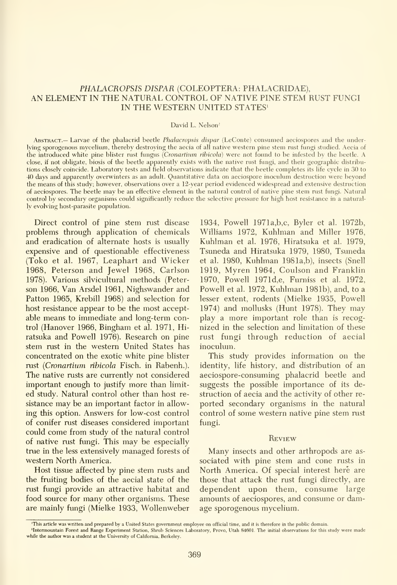#### PHALACROPSIS DISPAR (COLEOPTERA: PHALACRIDAE), AN ELEMENT IN THE NATURAL CONTROL OF NATIVE PINE STEM RUST FUNGI IN THE WESTERN UNITED STATES'

#### David L. Nelson<sup>2</sup>

Abstract.— Larvae of the phalacrid beetle Phalacropsis dispar (LeConte) consumed aeciospores and the underlying sporogenous mycelium, thereby destroying the aecia of all native western pine stem rust fungi studied. Aecia of the introduced white pine blister rust fungus (Cronartium ribicola) were not found to be infested by the beetle. A close, if not obligate, biosis of the beetle apparently exists with the native rust fimgi, and their geographic distributions closely coincide. Laboratory tests and field observations indicate that the beetle completes its life cycle in 30 to 40 days and apparently overwinters as an adult. Quantitative data on aeciospore inoculum destruction were beyond the means of this study; however, observations over a 12-year period evidenced widespread and extensive destruction of aeciospores. The beetle may be an effective element in the natural control of native pine stem rust fimgi. Natural control by secondary organisms could significantly reduce the selective pressure for high host resistance in a naturally evolving host-parasite population.

Direct control of pine stem rust disease problems through application of chemicals and eradication of alternate hosts is usually expensive and of questionable effectiveness (Toko et al. 1967, Leaphart and Wicker 1968, Peterson and Jewel 1968, Carlson 1978). Various silvicultural methods (Peter son 1966, Van Arsdel 1961, Nighswander and Patton 1965, Krebill 1968) and selection for host resistance appear to be the most acceptable means to immediate and long-term control (Hanover 1966, Bingham et al. 1971, Hiratsuka and Powell 1976). Research on pine stem rust in the western United States has concentrated on the exotic white pine blister rust {Cronartium rihicola Fisch. in Rabenh.). The native rusts are currently not considered important enough to justify more than limit ed study. Natural control other than host re sistance may be an important factor in allowing this option. Answers for low-cost control of conifer rust diseases considered important could come from study of the natural control of native rust fungi. This may be especially true in the less extensively managed forests of western North America.

Host tissue affected by pine stem rusts and the fruiting bodies of the aecial state of the rust fungi provide an attractive habitat and food source for many other organisms. These are mainly fungi (Mielke 1933, Wollenweber 1934, Powell 1971a,b,c, Byler et al. 1972b, Williams 1972, Kuhlman and Miller 1976, Kuhlman et al. 1976, Hiratsuka et al. 1979, Tsuneda and Hiratsuka 1979, 1980, Tsuneda et al. 1980, Kuhlman 1981a,b), insects (Snell 1919, Myren 1964, Coulson and Franklin 1970, Powell 1971d,e, Furniss et al. 1972, Powell et al. 1972, Kuhlman 1981b), and, to a lesser extent, rodents (Mielke 1935, Powell 1974) and mollusks (Hunt 1978). They may play a more important role than is recog nized in the selection and limitation of these rust fungi through reduction of aecial inoculum.

This study provides information on the identity, life history, and distribution of an aeciospore-consuming phalacrid beetle and suggests the possible importance of its destruction of aecia and the activity of other re ported secondary organisms in the natural control of some western native pine stem rust fungi.

#### **REVIEW**

Many insects and other arthropods are as sociated with pine stem and cone rusts in North America. Of special interest here are those that attack the rust fungi directly, are dependent upon them, consume large amounts of aeciospores, and consume or damage sporogenous mycelium.

<sup>&#</sup>x27;This article was written and prepared by a United States government employee on official time, and it is therefore in the public domain.

<sup>&#</sup>x27;Intermountain Forest and Range Experiment Station, Shrub Sciences Laboratory, Provo, Utah 84601. The initial observations for this study were made vhile the author was a student at the University of California, Berkeley.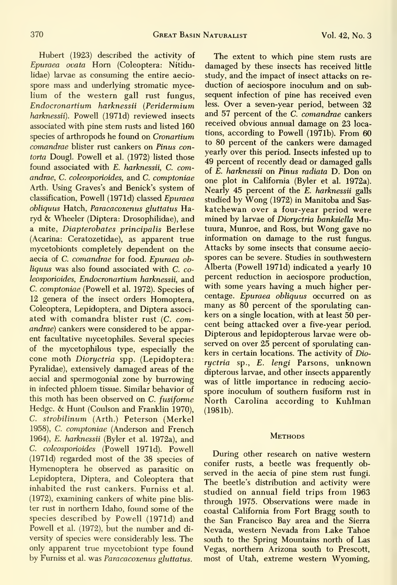Hubert (1923) described the activity of Epuraea ovata Horn (Coleoptera: Nitidulidae) larvae as consuming the entire aecio spore mass and underlying stromatic mycelium of the western gall rust fungus, Endocronartium harknessii (Peridermium harknessii). Powell (1971d) reviewed insects associated with pine stem rusts and listed 160 species of arthropods he found on Cronartium comandrae blister rust cankers on Pinus contorta Dougl. Powell et al. (1972) listed those found associated with E. harknessii, C. comandrae, C. coleosporioides, and C. comptoniae Arth. Using Graves's and Benick's system of classification, Powell (1971d) classed Epuraea obliquus Hatch, Paracacoxenus gluttatus Haryd & Wheeler (Diptera: Drosophilidae), and a mite, Diapterobates principalis Berlese (Acarina: Ceratozetidae), as apparent true mycetobionts completely dependent on the aecia of C. comandrae for food. Epuraea obliquus was also found associated with C. coleosporioides, Endocronartium harknessii, and C. comptoniae (Powell et al. 1972). Species of 12 genera of the insect orders Homoptera, Coleoptera, Lepidoptera, and Diptera associ ated with comandra blister rust (C. comandrae) cankers were considered to be apparent facultative mycetophiles. Several species of the mycetophilous type, especially the cone moth Dioryctria spp. (Lepidoptera: Pyralidae), extensively damaged areas of the aecial and spermogonial zone by burrowing in infected phloem tissue. Similar behavior of this moth has been observed on C. fusiforme Hedge. & Hunt (Coulson and Franklin 1970), C. strobilinum (Arth.) Peterson (Merkel 1958), C. comptoniae (Anderson and French 1964), £. harknessii (Byler et al. 1972a), and C. coleosporioides (Powell 1971d). Powell (197 Id) regarded most of the 38 species of Hymenoptera he observed as parasitic on Lepidoptera, Diptera, and Coleoptera that inhabited the rust cankers. Furniss et al. (1972), examining cankers of white pine blis ter rust in northern Idaho, found some of the species described by Powell (1971d) and Powell et al. (1972), but the number and di versity of species were considerably less. The only apparent true mycetobiont type found by Furniss et al. was Paracacoxenus gluttatus.

The extent to which pine stem rusts are damaged by these insects has received little study, and the impact of insect attacks on re duction of aeciospore inoculum and on sub sequent infection of pine has received even less. Over a seven-year period, between 32 and 57 percent of the C. comandrae cankers received obvious annual damage on 23 locations, according to Powell (1971b). From 60 to 80 percent of the cankers were damaged yearly over this period. Insects infested up to 49 percent of recently dead or damaged galls of E. harknessii on Pinus radiata D. Don on one plot in California (Byler et al. 1972a). Nearly 45 percent of the E. harknessii galls studied by Wong (1972) in Manitoba and Sas katchewan over a four-year period were mined by larvae of Dioryctria banksiella Mutuura, Munroe, and Ross, but Wong gave no information on damage to the rust fungus. Attacks by some insects that consume aecio spores can be severe. Studies in southwestern Alberta (Powell 1971d) indicated a yearly 10 percent reduction in aeciospore production, with some years having a much higher per centage. Epuraea obliquus occurred on as many as 80 percent of the sporulating cankers on a single location, with at least 50 per cent being attacked over a five-year period. Dipterous and lepidopterous larvae were observed on over 25 percent of sporulating cankers in certain locations. The activity of Dioryctria sp., E. lengi Parsons, unknown dipterous larvae, and other insects apparently was of little importance in reducing aecio spore inoculum of southern fusiform rust in North Carolina according to Kuhlman (1981b).

#### **METHODS**

During other research on native western conifer rusts, a beetle was frequently observed in the aecia of pine stem rust fungi. The beetle's distribution and activity were studied on annual field trips from 1963 through 1975. Observations were made in coastal California from Fort Bragg south to the San Francisco Bay area and the Sierra Nevada, western Nevada from Lake Tahoe south to the Spring Mountains north of Las Vegas, northern Arizona south to Prescott, most of Utah, extreme western Wyoming,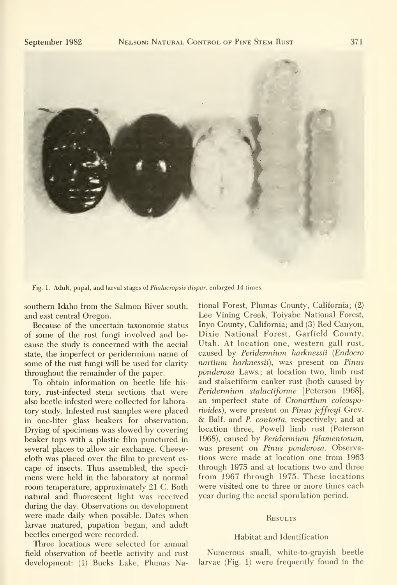

Fig. 1. Adult, pupal, and larval stages of Phalacropsis dispar, enlarged 14 times.

southern Idaho from the Salmon River south, and east central Oregon.

Because of the uncertain taxonomic status of some of the rust fungi involved and be cause the study is concerned with the aecial state, the imperfect or peridermium name of some of the rust fimgi will be used for clarity throughout the remainder of the paper.

To obtain information on beetle life his tory, rust-infected stem sections that were also beetle infested were collected for laboratory study. Infested rust samples were placed in one-liter glass beakers for observation. Drying of specimens was slowed by covering beaker tops with a plastic film punctured in several places to allow air exchange. Cheesecloth was placed over the film to prevent es cape of insects. Thus assembled, the speci mens were held in the laboratory at normal room temperature, approximately 21 C. Both natural and fluorescent light was received during the day. Observations on development were made daily when possible. Dates when larvae matured, pupation began, and adult beetles emerged were recorded.

Three locations were selected for annual field observation of beetle activity and rust development: (1) Bucks Lake, Plumas National Forest, Plumas County, California; (2) Lee Vining Creek, Toiyabe National Forest, Inyo County, California; and (3) Red Canyon, Dixie National Forest, Garfield County, Utah. At location one, western gall rust, caused by Peridermium harknessii {Endocro nartium harknessii), was present on Pinus ponderosa Laws.; at location two, limb rust and stalactiform canker rust (both caused by Peridermium stalactiforme [Peterson 1968], an imperfect state of Cronartium coleosporioides), were present on Pinus jeffreyi Grev. & Balf. and P. contorta, respectively; and at location three, Powell limb rust (Peterson 1968), caused by Peridermium filamentosum, was present on Pinus ponderosa. Observations were made at location one from 1963 through 1975 and at locations two and three from 1967 through 1975. These locations were visited one to three or more times each year during the aecial sporulation period.

#### **RESULTS**

#### Habitat and Identification

Numerous small, white-to-grayish beetle larvae (Fig. 1) were frequently found in the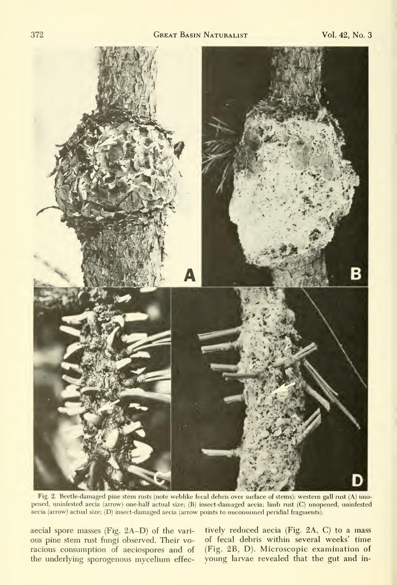

Fig. 2. Beetle-damaged pine stem rusts (note weblike fecal debris over surface of stems): western gall rust (A) unopened, uninfested aecia (arrow) one-half actual size; (B) insect-damaged aecia; limb rust (C) unopened, uninfested aecia (arrow) actual size; (D) insect-damaged aecia (arrow points to unconsumed peridial fragments).

aecial spore masses (Fig. 2A-D) of the vari ous pine stem rust fungi observed. Their voracious consumption of aeciospores and of the underlying sporogenous mycelium effec-

tively reduced aecia (Fig. 2A, C) to a mass of fecal debris within several weeks' time (Fig. 2B, D). Microscopic examination of young larvae revealed that the gut and in-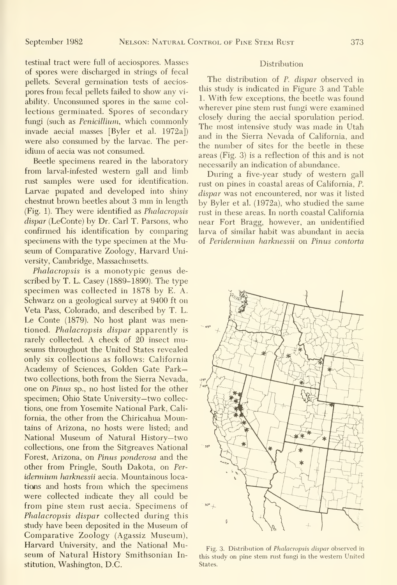testinal tract were full of aeciospores. Masses of spores were discharged in strings of fecal pellets. Several germination tests of aecios pores from fecal pellets failed to show any vi ability. Unconsumed spores in the same col lections germinated. Spores of secondary fungi (such as Penicillium, which commonly invade aecial masses [Byler et al. 1972a]) were also consumed by the larvae. The per idium of aecia was not consumed.

Beetle specimens reared in the laboratory from larval-infested western gall and limb rust samples were used for identification. Larvae pupated and developed into shiny chestnut brown beetles about <sup>3</sup> mm in length (Fig. 1). They were identified as Phalacropsis dispar (LeConte) by Dr. Carl T. Parsons, who confirmed his identification by comparing specimens with the type specimen at the Museum of Comparative Zoology, Harvard University, Cambridge, Massachusetts.

Phalacropsis is a monotypic genus described by T. L. Casey (1889-1890). The type specimen was collected in 1878 by E. A. Schwarz on a geological survey at 9400 ft on Veta Pass, Colorado, and described by T. L. Le Conte (1879). No host plant was mentioned. Phalacropsis dispar apparently is rarely collected. A check of 20 insect museums throughout the United States revealed only six collections as follows: California Academy of Sciences, Golden Gate Parktwo collections, both from the Sierra Nevada, one on Pinus sp., no host listed for the other specimen; Ohio State University—two collections, one from Yosemite National Park, California, the other from the Chiricahua Mountains of Arizona, no hosts were listed; and National Museum of Natural History—two collections, one from the Sitgreaves National Forest, Arizona, on Pinus ponderosa and the other from Pringle, South Dakota, on Per idermium harknessii aecia. Mountainous locations and hosts from which the specimens were collected indicate they all could be from pine stem rust aecia. Specimens of Phalacropsis dispar collected during this study have been deposited in the Museum of Comparative Zoology (Agassiz Museum), Harvard University, and the National Museum of Natural History Smithsonian Institution, Washington, D.C.

#### **Distribution**

The distribution of P. dispar observed in this study is indicated in Figure 3 and Table 1. With few exceptions, the beetle was found wherever pine stem rust fungi were examined closely during the aecial sporulation period. The most intensive study was made in Utah and in the Sierra Nevada of California, and the number of sites for the beetle in these areas (Fig. 3) is a reflection of this and is not necessarily an indication of abundance.

During a five-year study of western gall rust on pines in coastal areas of California, P. dispar was not encountered, nor was it listed by Byler et al. (1972a), who studied the same rust in these areas. In north coastal California near Fort Bragg, however, an unidentified larva of similar habit was abundant in aecia of Peridennium harknessii on Pinus contorta



Fig. 3. Distribution of Phalacropsis dispar observed in this study on pine stem rust fungi in the western United States.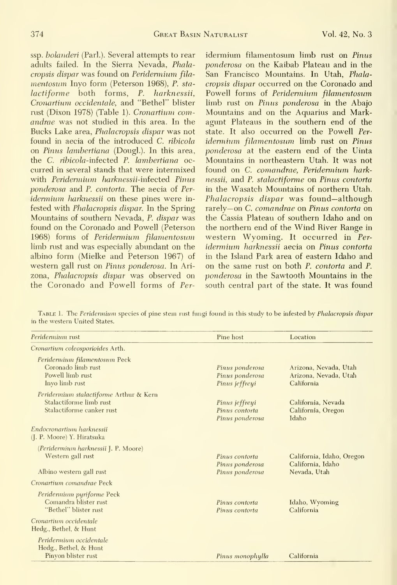ssp. bolanderi (Parl.). Several attempts to rear adults failed. In the Sierra Nevada, Phalacropsis dispar was found on Peridermium filamentosum Inyo form (Peterson 1968), P. stalactiforme both forms, P. harknessii, Cronartium occidentale, and "Bethel" blister rust (Dixon 1978) (Table 1). Cronartium comandrae was not studied in this area. In the Bucks Lake area, Phalacropsis dispar was not found in aecia of the introduced C. ribicola on Pinus lambertiana (Dougl.). In this area, the C. ribicola-infected P. lambertiana occurred in several stands that were intermixed with *Peridermium harknessii*-infected *Pinus* ponderosa and P. contorta. The aecia of Per idermium harknessii on these pines were infested with Phalacropsis dispar. In the Spring Mountains of southern Nevada, P. dispar was found on the Coronado and Powell (Peterson 1968) forms of Peridermium filamentosum limb rust and was especially abimdant on the albino form (Mielke and Peterson 1967) of western gall rust on Pinus ponderosa. In Ari zona, Phalacropsis dispar was observed on the Coronado and Powell forms of Peridermium filamentosum limb rust on Pinus ponderosa on the Kaibab Plateau and in the San Francisco Mountains. In Utah, Phalacropsis dispar occurred on the Coronado and Powell forms of Peridermium filamentosum limb rust on Pinus ponderosa in the Abajo Mountains and on the Aquarius and Markagunt Plateaus in the southern end of the state. It also occurred on the Powell Per idermium filamentosum limb rust on Pinus ponderosa at the eastern end of the Uinta Mountains in northeastern Utah. It was not found on C. comandrae, Peridermium harknessii, and P. stalactiforme on Pinus contorta in the Wasatch Mountains of northern Utah. Phalacropsis dispar was found—although rarely— on C. comandrae on Pinus contorta on the Cassia Plateau of southern Idaho and on the northern end of the Wind River Range in western Wyoming. It occurred in Per idermium harknessii aecia on Pinus contorta in the Island Park area of eastern Idaho and on the same rust on both P. contorta and P. ponderosa in the Sawtooth Mountains in the south central part of the state. It was found

TABLE 1. The Peridermium species of pine stem rust fungi found in this study to be infested by Phalacropsis dispar in the western United States.

| <i>Peridermium</i> rust                                                                         | Pine host                                            | Location                                                                                                          |  |  |
|-------------------------------------------------------------------------------------------------|------------------------------------------------------|-------------------------------------------------------------------------------------------------------------------|--|--|
| Cronartium coleosporioides Arth.                                                                |                                                      |                                                                                                                   |  |  |
| Peridermium filamentosum Peck<br>Coronado limb rust<br>Powell limb rust<br>Invo limb rust       | Pinus ponderosa<br>Pinus ponderosa<br>Pinus jeffreyi | Arizona, Nevada, Utah<br>Arizona, Nevada, Utah<br>California<br>California, Nevada<br>California, Oregon<br>Idaho |  |  |
| Peridermium stalactiforme Arthur & Kern<br>Stalactiforme limb rust<br>Stalactiforme canker rust | Pinus jeffreyi<br>Pinus contorta<br>Pinus ponderosa  |                                                                                                                   |  |  |
| Endocronartium harknessii<br>(J. P. Moore) Y. Hiratsuka                                         |                                                      |                                                                                                                   |  |  |
| (Peridermium harknessii J. P. Moore)<br>Western gall rust                                       | Pinus contorta<br>Pinus ponderosa                    | California, Idaho, Oregon<br>California, Idaho                                                                    |  |  |
| Albino western gall rust                                                                        | Pinus ponderosa                                      | Nevada, Utah                                                                                                      |  |  |
| Cronartium comandrae Peck                                                                       |                                                      |                                                                                                                   |  |  |
| Peridermium pyriforme Peck<br>Comandra blister rust<br>"Bethel" blister rust                    | Pinus contorta<br>Pinus contorta                     | Idaho, Wyoming<br>California                                                                                      |  |  |
| Cronartium occidentale<br>Hedg., Bethel, & Hunt                                                 |                                                      |                                                                                                                   |  |  |
| Peridermium occidentale<br>Hedg., Bethel, & Hunt<br>Pinyon blister rust                         | Pinus monophylla                                     | California                                                                                                        |  |  |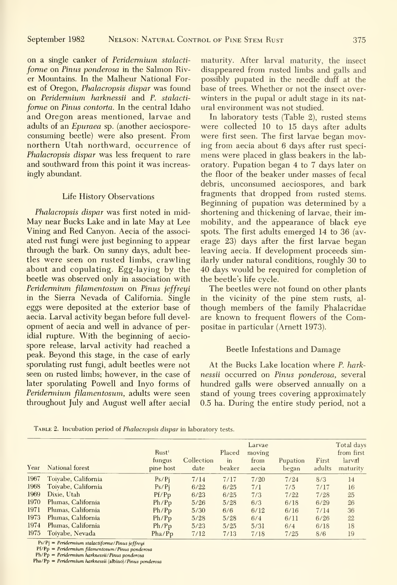on a single canker of Peridermium stalacti forme on Pinus ponderosa in the Salmon River Mountains. In the Malheur National Forest of Oregon, Phalacropsis dispar was found on Peridermium harknessii and P. stalacti forme on Pinus contorta. In the central Idaho and Oregon areas mentioned, larvae and adults of an Epuraea sp. (another aeciosporeconsuming beetle) were also present. From northern Utah northward, occurrence of Phalacropsis dispar was less frequent to rare and southward from this point it was increasingly abundant.

#### Life History Observations

Phalacropsis dispar was first noted in mid-May near Bucks Lake and in late May at Lee Vining and Red Canyon. Aecia of the associ ated rust fungi were just beginning to appear through the bark. On simny days, adult beetles were seen on rusted limbs, crawling about and copulating. Egg-laying by the beetle was observed only in association with Peridermium filamentosum on Pinus jeffreyi in the Sierra Nevada of California. Single eggs were deposited at the exterior base of aecia. Larval activity began before full devel opment of aecia and well in advance of peridial rupture. With the beginning of aecio spore release, larval activity had reached a peak. Beyond this stage, in the case of early sporulating rust fungi, adult beetles were not seen on rusted limbs; however, in the case of later sporulating Powell and Inyo forms of Peridermium filamentosum, adults were seen throughout July and August well after aecial

maturity. After larval maturity, the insect disappeared from rusted limbs and galls and possibly pupated in the needle duff at the base of trees. Whether or not the insect over winters in the pupal or adult stage in its nat ural environment was not studied.

In laboratory tests (Table 2), rusted stems were collected 10 to 15 days after adults were first seen. The first larvae began moving from aecia about 6 days after rust speci mens were placed in glass beakers in the lab oratory. Pupation began 4 to 7 days later on the floor of the beaker under masses of fecal debris, unconsumed aeciospores, and bark fragments that dropped from rusted stems. Beginning of pupation was determined by a shortening and thickening of larvae, their immobility, and the appearance of black eye spots. The first adults emerged 14 to 36 (av erage 23) days after the first larvae began leaving aecia. If development proceeds similarly under natural conditions, roughly 30 to 40 days would be required for completion of the beetle's life cycle.

The beetles were not found on other plants in the vicinity of the pine stem rusts, al though members of the family Phalacridae are known to frequent flowers of the Compositae in particular (Amett 1973).

#### Beetle Infestations and Damage

At the Bucks Lake location where P. harknessii occurred on Pinus ponderosa, several hundred galls were observed annually on a stand of young trees covering approximately 0.5 ha. During the entire study period, not a

| Year | National forest     | Rust <sup>1</sup><br>fungus<br>pine host | Collection<br>date | Placed<br>in<br>beaker | Larvae<br>moving<br>from<br>aecia | Pupation<br>began | First<br>adults | Total days<br>from first<br>larval<br>maturity |
|------|---------------------|------------------------------------------|--------------------|------------------------|-----------------------------------|-------------------|-----------------|------------------------------------------------|
| 1967 | Toiyabe, California | Ps/Pi                                    | 7/14               | 7/17                   | 7/20                              | 7/24              | 8/3             | 14                                             |
| 1968 | Toivabe, California | Ps/Pi                                    | 6/22               | 6/25                   | 7/1                               | 7/5               | 7/17            | 16                                             |
| 1969 | Dixie, Utah         | Pf/Pp                                    | 6/23               | 6/25                   | 7/3                               | 7/22              | 7/28            | 25                                             |
| 1970 | Plumas, California  | Ph/Pp                                    | 5/26               | 5/28                   | 6/3                               | 6/18              | 6/29            | 26                                             |
| 1971 | Plumas, California  | Ph/Pp                                    | 5/30               | 6/6                    | 6/12                              | 6/16              | 7/14            | 36                                             |
| 1973 | Plumas, California  | Ph/Pp                                    | 5/28               | 5/28                   | 6/4                               | 6/11              | 6/26            | 22                                             |
| 1974 | Plumas, California  | Ph/Pp                                    | 5/23               | 5/25                   | 5/31                              | 6/4               | 6/18            | 18                                             |
| 1975 | Toivabe, Nevada     | Pha/P <sub>D</sub>                       | 7/12               | 7/13                   | 7/18                              | 7/25              | 8/6             | 19                                             |

TABLE 2. Incubation period of Phalacropsis dispar in laboratory tests.

 $Ps/Pj = Peridermium$  stalactiforme/Pinus jeffreyi

 $Pf/Pp = Peridemium filamentosum/Pinus ponderosa$ 

 $Ph/Pp = Peridermium$  harknessii/Pinus ponderosa

 $Pha/Pp = Peridermium$  harknessii (albino)/Pinus ponderosa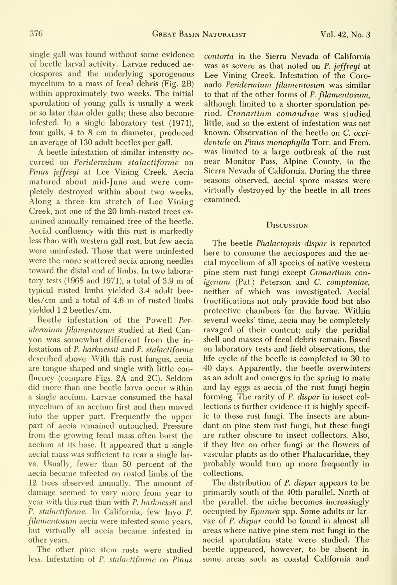single gall was found without some evidence of beetle larval activity. Larvae reduced ae ciospores and the underlying sporogenous mycelium to a mass of fecal debris (Fig. 2B) within approximately two weeks. The initial sporulation of young galls is usually a week or so later than older galls; these also become infested. In a single laboratory test (1971), four galls, 4 to 8 cm in diameter, produced an average of 130 adult beetles per gall.

A beetle infestation of similar intensity oc curred on Peridermium stalactiforme on Pinus jeffreyi at Lee Vining Creek. Aecia matured about mid-June and were completely destroyed within about two weeks. Along <sup>a</sup> three km stretch of Lee Vining Creek, not one of the 20 limb-rusted trees ex amined annually remained free of the beetle. Aecial confluency with this rust is markedly less than with western gall rust, but few aecia were uninfested. Those that were uninfested were the more scattered aecia among needles toward the distal end of limbs. In two laboratory tests (1968 and 1971), <sup>a</sup> total of 3.9 m of typical msted limbs yielded 3.4 adult beetles/cm and <sup>a</sup> total of 4.6 m of rusted limbs yielded 1.2 beetles/ cm.

Beetle infestation of the Powell Per idermium filamentosum studied at Red Canyon was somewhat different from the in festations of P. harknessii and P. stalactiforme described above. With this rust fungus, aecia are tongue shaped and single with little confluency (compare Figs. 2A and 2C). Seldom did more than one beetle larva occur within a single aecium. Larvae consumed the basal mycelium of an aecium first and then moved into the upper part. Frequently the upper part of aecia remained untouched. Pressure from the growing fecal mass often burst the aecium at its base. It appeared that a single aecial mass was sufficient to rear a single lar va. Usually, fewer than 50 percent of the aecia became infected on rusted limbs of the 12 trees observed annually. The amount of damage seemed to vary more from year to year with this rust than with P. harknessii and P. stalactiforme. In California, few Inyo P. filamentosum aecia were infested some years, but virtually all aecia became infested in other years.

The other pine stem rusts were studied less. Infestation of P. stalactiforme on Pinus

contorta in the Sierra Nevada of California was as severe as that noted on P. jeffreyi at Lee Vining Creek. Infestation of the Coronado Peridermium filamentosum was similar to that of the other forms of P. filamentosum, although limited to a shorter sporulation period. Cronartium comandrae was studied little, and so the extent of infestation was not known. Observation of the beetle on C. occidentale on Pinus monophylla Torr. and Frem. was limited to a large outbreak of the rust near Monitor Pass, Alpine County, in the Sierra Nevada of California. During the three seasons observed, aecial spore masses were virtually destroyed by the beetle in all trees examined.

#### **D***ISCUSSION*

The beetle Phalacropsis dispar is reported here to consume the aeciospores and the aecial mycelium of all species of native western pine stem rust fungi except Cronartium con igenum (Pat.) Peterson and C. comptoniae, neither of which was investigated. Aecial fructifications not only provide food but also protective chambers for the larvae. Within several weeks' time, aecia may be completely ravaged of their content; only the peridial shell and masses of fecal debris remain. Based on laboratory tests and field observations, the life cycle of the beetle is completed in 30 to 40 days. Apparently, the beetle overwinters as an adult and emerges in the spring to mate and lay eggs as aecia of the rust fungi begin forming. The rarity of P. dispar in insect collections is further evidence it is highly specific to these rust fungi. The insects are abundant on pine stem rust fungi, but these fungi are rather obscure to insect collectors. Also, if they live on other fungi or the flowers of vascular plants as do other Phalacaridae, they probably would turn up more frequently in collections.

The distribution of *P. dispar* appears to be primarily south of the 40th parallel. North of the parallel, the niche becomes increasingly occupied by *Epuraea* spp. Some adults or larvae of P. dispar could be found in almost all areas where native pine stem rust fungi in the aecial sporulation state were studied. The beetle appeared, however, to be absent in some areas such as coastal California and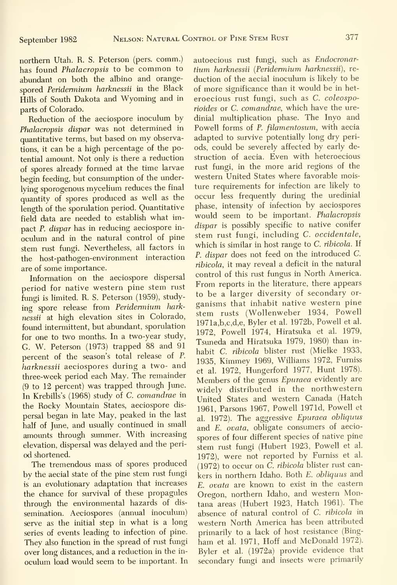northern Utah. R. S. Peterson (pers. comm.) has found Phalacropsis to be common to abimdant on both the albino and orange spored Peridermium harknessii in the Black Hills of South Dakota and Wyoming and in parts of Colorado.

Reduction of the aeciospore inoculum by Phalacropsis dispar was not determined in quantitative terms, but based on my observations, it can be a high percentage of the potential amount. Not only is there a reduction of spores already formed at the time larvae begin feeding, but consumption of the underlying sporogenous mycelium reduces the final quantity of spores produced as well as the length of the sporulation period. Quantitative field data are needed to establish what impact P. dispar has in reducing aeciospore in oculum and in the natural control of pine stem rust fungi. Nevertheless, all factors in the host-pathogen-environment interaction are of some importance.

Information on the aeciospore dispersal period for native western pine stem rust fungi is limited. R. S. Peterson (1959), studying spore release from Peridermium harknessii at high elevation sites in Colorado, found intermittent, but abundant, sporulation for one to two months. In a two-year study, G. W. Peterson (1973) trapped 88 and 91 percent of the season's total release of P. harknessii aeciospores during a two- and three-week period each May. The remainder (9 to 12 percent) was trapped through June. In Krebills's (1968) study of C. comandrae in the Rocky Mountain States, aeciospore dis persal began in late May, peaked in the last half of June, and usually continued in small amounts through summer. With increasing elevation, dispersal was delayed and the period shortened.

The tremendous mass of spores produced by the aecial state of the pine stem rust fungi is an evolutionary adaptation that increases the chance for survival of these propagules through the environmental hazards of dis semination. Aeciospores (annual inoculum) serve as the initial step in what is a long series of events leading to infection of pine. They also function in the spread of rust fungi over long distances, and a reduction in the in oculum load would seem to be important. In

autoecious rust fimgi, such as Endocronartium harknessii (Peridermium harknessii), re duction of the aecial inoculum is likely to be of more significance than it would be in het eroecious rust fungi, such as C. coleosporioides or C. comandrae, which have the uredinial multiplication phase. The Inyo and Powell forms of P. filamentosum, with aecia adapted to survive potentially long dry periods, could be severely affected by early destruction of aecia. Even with heteroecious rust fungi, in the more arid regions of the western United States where favorable moisture requirements for infection are likely to occur less frequently during the uredinial phase, intensity of infection by aeciospores would seem to be important. Phalacropsis dispar is possibly specific to native conifer stem rust fungi, including C. occidentale, which is similar in host range to C. ribicola. If P. dispar does not feed on the introduced C. ribicola, it may reveal a deficit in the natural control of this rust fungus in North America. From reports in the literature, there appears to be a larger diversity of secondary or ganisms that inhabit native western pine stem rusts (Wollenweber 1934, Powell 1971a,b,c,d,e, Byler et al. 1972b, Powell et al. 1972, Powell 1974, Hiratsuka et al. 1979, Tsuneda and Hiratsuka 1979, 1980) than in habit C. ribicola blister rust (Mielke 1933, 1935, Kimmey 1969, Williams 1972, Furniss et al. 1972, Hungerford 1977, Hunt 1978). Members of the genus Epuraea evidently are widely distributed in the northwestern United States and western Canada (Hatch 1961, Parsons 1967, Powell 1971d, Powell et al. 1972). The aggressive Epuraea obliquus and E. ovata, obligate consumers of aecio spores of four different species of native pine stem rust fungi (Hubert 1923, Powell et al. 1972), were not reported by Furniss et al. (1972) to occur on C. ribicola blister rust cankers in northern Idaho. Both E. obliquus and E. ovata are known to exist in the eastern Oregon, northern Idaho, and western Montana areas (Hubert 1923, Hatch 1961). The absence of natural control of C. ribicola in western North America has been attributed primarily to a lack of host resistance (Bingham et al. 1971, Hoff and McDonald 1972). Byler et al. (1972a) provide evidence that secondary fungi and insects were primarily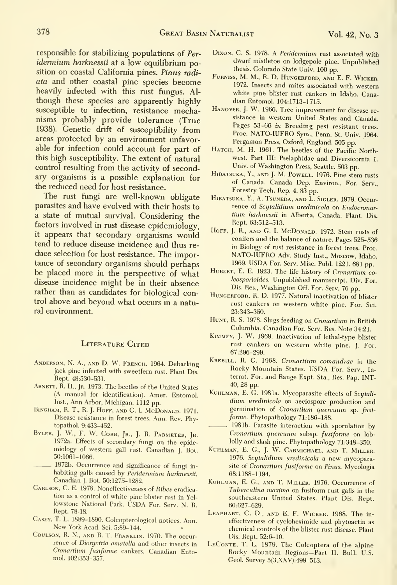responsible for stabilizing populations of Per idermium harknessii at a low equilibrium position on coastal California pines. Pinus radi ata and other coastal pine species become heavily infected with this rust fungus. Al though these species are apparently highly susceptible to infection, resistance mechanisms probably provide tolerance (True 1938). Genetic drift of susceptibility from areas protected by an environment unfavorable for infection could account for part of this high susceptibility. The extent of natural control resulting from the activity of secondary organisms is a possible explanation for the reduced need for host resistance.

The rust fungi are well-known obligate parasites and have evolved with their hosts to a state of mutual survival. Considering the factors involved in rust disease epidemiology, it appears that secondary organisms would tend to reduce disease incidence and thus re duce selection for host resistance. The importance of secondary organisms should perhaps be placed more in the perspective of what disease incidence might be in their absence rather than as candidates for biological control above and beyond what occurs in a natural environment.

#### LITERATURE CITED

- Anderson, N. A., and D. W. French. 1964. Debarking jack pine infected with sweetfem rust. Plant Dis. Rept. 48:530-531.
- ARNETT, R. H., Jr. 1973. The beetles of the United States (A manual for identification). Amer. Entomol. Inst., Ann Arbor, Michigan. <sup>1112</sup> pp.
- BINGHAM, R. T., R. J. HOFF, AND G. I. MCDONALD. 1971. Disease resistance in forest trees. Ann. Rev. Phytopathol. 9:433-452.
- BYLER, J. W., F. W. COBB, JR., J. R. PARMETER, JR. 1972a. Effects of secondary fungi on the epidemiology of western gall rust. Canadian J. Bot. 50:1061-1066.
- 1972b. Occurrence and significance of fungi in habiting galls caused by Peridennium harknessii. Canadian J. Bot. 50:1275-1282.
- Carlson, C. E. 1978. Noneffectiveness of Ribes eradication as a control of white pine blister rust in Yel lowstone National Park. USDA For. Serv. N. R. Rept. 78-18.
- Casey, T. L. 1889-1890. Coleopterological notices. Ann. New York Acad. Sci. 5:89-144.
- CouLSON, R. N., and R. T. Franklin. 1970. The occur rence of Dioryctria amatella and other insects in Cronartium fusiforme cankers. Canadian Entomol. 102:353-357.
- DIXON, C. S. 1978. A Peridermium rust associated with dwarf mistletoe on lodgepole pine. Unpublished thesis. Colorado State Univ. 100 pp.
- FuRNiss, M. M., R. D. Hungerford, and E. F. Wicker. 1972. Insects and mites associated with western white pine blister rust cankers in Idaho. Canadian Entomol. 104:1713-1715.
- Hanover, J. W. 1966. Tree improvement for disease re sistance in western United States and Canada. Pages 53-66 in Breeding pest resistant trees. Proc. NATO-IUFRO Sym., Penn. St. Univ. 1964.<br>Pergamon Press, Oxford, England. 505 pp.
- HATCH, M. H. 1961. The beetles of the Pacific Northwest. Part III: Pselaphidae and Diversicornia 1. Univ. of Washington Press, Seattle. 503 pp.
- Hiratsuka, Y., and J. M. Powell. 1976. Pine stem rusts of Canada. Canada Dep. Environ., For. Serv., Forestry Tech. Rep. 4. 83 pp.
- Hiratsuka, Y., A. Tsuneda, and L. Sigler. 1979. Occurrence of Scytalidium uredinicola on Endocronartium harknessii in Alberta, Canada. Plant. Dis. Rept. 63:512-513.
- HOFF, J. R., AND G. I. McDONALD. 1972. Stem rusts of conifers and the balance of nature. Pages 525-536 in Biology of rust resistance in forest trees. Proc. NATO-IUFRO Adv. Study Inst., Moscow, Idaho, 1969. USDA For. Serv. Misc. Publ. 1221. 681 pp.
- HUBERT, E. E. 1923. The life history of Cronartium coleosporioides. Unpublished manuscript. Div. For. Dis. Res., Washington Off. For. Serv. 76 pp.
- HUNGERFORD, R. D. 1977. Natural inactivation of blister rust cankers on western white pine. For. Sci. 23:343-350.
- HUNT, R. S. 1978. Slugs feeding on Cronartium in British Columbia. Canadian For. Serv. Res. Note 34:21.
- Kimmey, J. W. 1969. Inactivation of lethal-type blister rust cankers on western white pine. J. For. 67:296-299.
- Krebill, R. G. 1968. Cronartium comandrae in the Rocky Mountain States. USDA For. Serv., In termt. For. and Range Expt. Sta., Res. Pap. INT-40, 28 pp.
- KUHLMAN, E. G. 1981a. Mycoparasite effects of Scytalidium uredinicola on aeciospore production and germination of Cronartium quercuum sp. fusi forme. Phytopathology 71:186-188.
	- 1981b. Parasite interaction with sporulation by Cronartium quercuum subsp. fusiforme on loblolly and slash pine. Phytopathology 71:348-350.
- KuHLMAN, E. G., J. W. Carmichael, and T. Miller. 1976. Scytalidium uredinicola <sup>a</sup> new mycoparasite of Cronartium fusiforme on Pinus. Mycologia 68:1188-1194.
- KuHLMAN, E. G., AND T. MiLLER. 1976. Occurrence of Tuberculina maxima on fusiform rust galls in the southeastern United States. Plant Dis. Rept. 60:627-629.
- Leaphart, C. D., AND E. F. Wicker. 1968. The in effectiveness of cycloheximide and phytoactin as chemical controls of the blister rust disease. Plant Dis. Rept. 52:6-10.
- LECONTE, T. L. 1879. The Coleoptera of the alpine Rocky Mountain Regions— Part II. Bull. U.S. Geol. Survey 5(3,XXV):499-513.